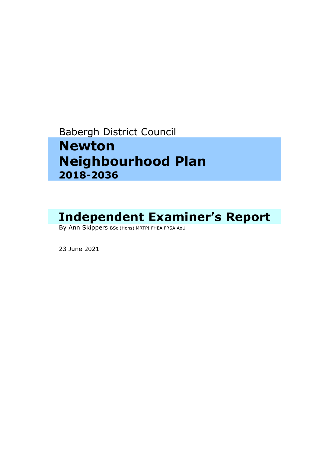# Babergh District Council

# **Newton Neighbourhood Plan 2018-2036**

# Independent Examiner's Report<br>By Ann Skippers BSc (Hons) MRTPI FHEA FRSA AoU

23 June <sup>2021</sup>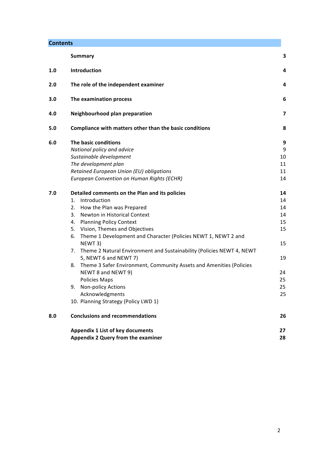| <b>Contents</b> |
|-----------------|
|-----------------|

|     | <b>Summary</b>                                                              | 3  |
|-----|-----------------------------------------------------------------------------|----|
| 1.0 | Introduction                                                                | 4  |
| 2.0 | The role of the independent examiner                                        | 4  |
| 3.0 | The examination process                                                     | 6  |
| 4.0 | Neighbourhood plan preparation                                              | 7  |
| 5.0 | Compliance with matters other than the basic conditions                     | 8  |
| 6.0 | The basic conditions                                                        | 9  |
|     | National policy and advice                                                  | 9  |
|     | Sustainable development                                                     | 10 |
|     | The development plan                                                        | 11 |
|     | Retained European Union (EU) obligations                                    | 11 |
|     | European Convention on Human Rights (ECHR)                                  | 14 |
| 7.0 | Detailed comments on the Plan and its policies                              | 14 |
|     | Introduction<br>1.                                                          | 14 |
|     | How the Plan was Prepared<br>2.                                             | 14 |
|     | 3.<br>Newton in Historical Context                                          | 14 |
|     | <b>Planning Policy Context</b><br>4.                                        | 15 |
|     | 5. Vision, Themes and Objectives                                            | 15 |
|     | Theme 1 Development and Character (Policies NEWT 1, NEWT 2 and<br>6.        |    |
|     | NEWT 3)                                                                     | 15 |
|     | Theme 2 Natural Environment and Sustainability (Policies NEWT 4, NEWT<br>7. |    |
|     | 5, NEWT 6 and NEWT 7)                                                       | 19 |
|     | Theme 3 Safer Environment, Community Assets and Amenities (Policies<br>8.   |    |
|     | NEWT 8 and NEWT 9)                                                          | 24 |
|     | <b>Policies Maps</b>                                                        | 25 |
|     | <b>Non-policy Actions</b><br>9.                                             | 25 |
|     | Acknowledgments                                                             | 25 |
|     | 10. Planning Strategy (Policy LWD 1)                                        |    |
| 8.0 | <b>Conclusions and recommendations</b>                                      | 26 |
|     | Appendix 1 List of key documents                                            | 27 |
|     | Appendix 2 Query from the examiner                                          | 28 |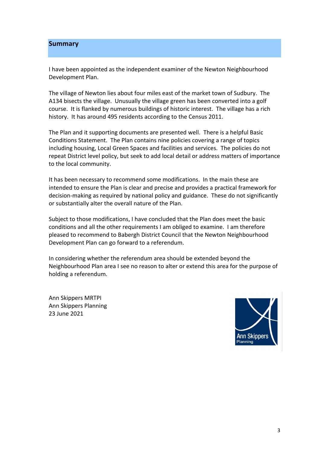#### **Summary**

I have been appointed as the independent examiner of the Newton Neighbourhood Development Plan.

The village of Newton lies about four miles east of the market town of Sudbury. The A134 bisects the village. Unusually the village green has been converted into a golf course. It is flanked by numerous buildings of historic interest. The village has a rich history. It has around 495 residents according to the Census 2011.

The Plan and it supporting documents are presented well. There is a helpful Basic Conditions Statement. The Plan contains nine policies covering a range of topics including housing, Local Green Spaces and facilities and services. The policies do not repeat District level policy, but seek to add local detail or address matters of importance to the local community.

It has been necessary to recommend some modifications. In the main these are intended to ensure the Plan is clear and precise and provides a practical framework for decision-making as required by national policy and guidance. These do not significantly or substantially alter the overall nature of the Plan.

Subject to those modifications, I have concluded that the Plan does meet the basic conditions and all the other requirements I am obliged to examine. I am therefore pleased to recommend to Babergh District Council that the Newton Neighbourhood Development Plan can go forward to a referendum.

In considering whether the referendum area should be extended beyond the Neighbourhood Plan area I see no reason to alter or extend this area for the purpose of holding a referendum.

Ann Skippers MRTPI Ann Skippers Planning 23 June 2021

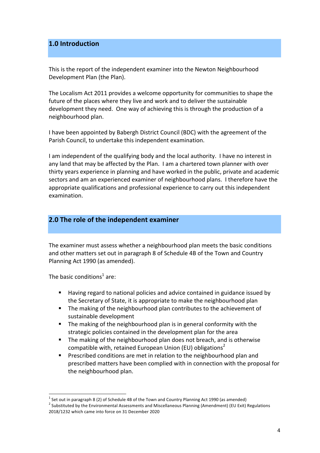# **1.0 Introduction**

This is the report of the independent examiner into the Newton Neighbourhood Development Plan (the Plan).

The Localism Act 2011 provides a welcome opportunity for communities to shape the future of the places where they live and work and to deliver the sustainable development they need. One way of achieving this is through the production of a neighbourhood plan. 

I have been appointed by Babergh District Council (BDC) with the agreement of the Parish Council, to undertake this independent examination.

I am independent of the qualifying body and the local authority. I have no interest in any land that may be affected by the Plan. I am a chartered town planner with over thirty years experience in planning and have worked in the public, private and academic sectors and am an experienced examiner of neighbourhood plans. I therefore have the appropriate qualifications and professional experience to carry out this independent examination. 

# **2.0** The role of the independent examiner

The examiner must assess whether a neighbourhood plan meets the basic conditions and other matters set out in paragraph 8 of Schedule 4B of the Town and Country Planning Act 1990 (as amended).

The basic conditions<sup>1</sup> are:

- **E** Having regard to national policies and advice contained in guidance issued by the Secretary of State, it is appropriate to make the neighbourhood plan
- The making of the neighbourhood plan contributes to the achievement of sustainable development
- **E** The making of the neighbourhood plan is in general conformity with the strategic policies contained in the development plan for the area
- The making of the neighbourhood plan does not breach, and is otherwise compatible with, retained European Union (EU) obligations<sup>2</sup>
- Prescribed conditions are met in relation to the neighbourhood plan and prescribed matters have been complied with in connection with the proposal for the neighbourhood plan.

 $<sup>1</sup>$  Set out in paragraph 8 (2) of Schedule 4B of the Town and Country Planning Act 1990 (as amended)</sup>

 $2$  Substituted by the Environmental Assessments and Miscellaneous Planning (Amendment) (EU Exit) Regulations 2018/1232 which came into force on 31 December 2020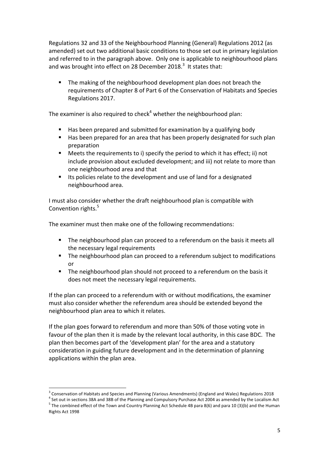Regulations 32 and 33 of the Neighbourhood Planning (General) Regulations 2012 (as amended) set out two additional basic conditions to those set out in primary legislation and referred to in the paragraph above. Only one is applicable to neighbourhood plans and was brought into effect on 28 December 2018.<sup>3</sup> It states that:

The making of the neighbourhood development plan does not breach the requirements of Chapter 8 of Part 6 of the Conservation of Habitats and Species Regulations 2017.

The examiner is also required to check<sup>4</sup> whether the neighbourhood plan:

- Has been prepared and submitted for examination by a qualifying body
- Has been prepared for an area that has been properly designated for such plan preparation
- E Meets the requirements to i) specify the period to which it has effect; ii) not include provision about excluded development; and iii) not relate to more than one neighbourhood area and that
- Its policies relate to the development and use of land for a designated neighbourhood area.

I must also consider whether the draft neighbourhood plan is compatible with Convention rights.<sup>5</sup>

The examiner must then make one of the following recommendations:

- **•** The neighbourhood plan can proceed to a referendum on the basis it meets all the necessary legal requirements
- **•** The neighbourhood plan can proceed to a referendum subject to modifications or
- The neighbourhood plan should not proceed to a referendum on the basis it does not meet the necessary legal requirements.

If the plan can proceed to a referendum with or without modifications, the examiner must also consider whether the referendum area should be extended beyond the neighbourhood plan area to which it relates.

If the plan goes forward to referendum and more than 50% of those voting vote in favour of the plan then it is made by the relevant local authority, in this case BDC. The plan then becomes part of the 'development plan' for the area and a statutory consideration in guiding future development and in the determination of planning applications within the plan area.

<sup>&</sup>lt;sup>3</sup> Conservation of Habitats and Species and Planning (Various Amendments) (England and Wales) Regulations 2018<br><sup>4</sup> Set out in sections 38A and 38B of the Planning and Compulsory Purchase Act 2004 as amended by the Locali Rights Act 1998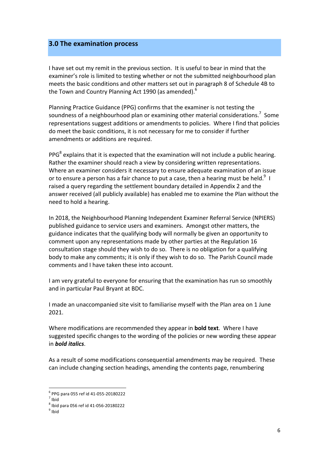### **3.0 The examination process**

I have set out my remit in the previous section. It is useful to bear in mind that the examiner's role is limited to testing whether or not the submitted neighbourhood plan meets the basic conditions and other matters set out in paragraph 8 of Schedule 4B to the Town and Country Planning Act 1990 (as amended).<sup>6</sup>

Planning Practice Guidance (PPG) confirms that the examiner is not testing the soundness of a neighbourhood plan or examining other material considerations.<sup>7</sup> Some representations suggest additions or amendments to policies. Where I find that policies do meet the basic conditions, it is not necessary for me to consider if further amendments or additions are required.

PPG $^8$  explains that it is expected that the examination will not include a public hearing. Rather the examiner should reach a view by considering written representations. Where an examiner considers it necessary to ensure adequate examination of an issue or to ensure a person has a fair chance to put a case, then a hearing must be held. $^9$  I raised a query regarding the settlement boundary detailed in Appendix 2 and the answer received (all publicly available) has enabled me to examine the Plan without the need to hold a hearing.

In 2018, the Neighbourhood Planning Independent Examiner Referral Service (NPIERS) published guidance to service users and examiners. Amongst other matters, the guidance indicates that the qualifying body will normally be given an opportunity to comment upon any representations made by other parties at the Regulation 16 consultation stage should they wish to do so. There is no obligation for a qualifying body to make any comments; it is only if they wish to do so. The Parish Council made comments and I have taken these into account.

I am very grateful to everyone for ensuring that the examination has run so smoothly and in particular Paul Bryant at BDC.

I made an unaccompanied site visit to familiarise myself with the Plan area on 1 June 2021. 

Where modifications are recommended they appear in **bold text**. Where I have suggested specific changes to the wording of the policies or new wording these appear in *bold italics*. 

As a result of some modifications consequential amendments may be required. These can include changing section headings, amending the contents page, renumbering

 $^6$  PPG para 055 ref id 41-055-20180222<br><sup>7</sup> Ibid

 $^8$  Ibid para 056 ref id 41-056-20180222<br> $^9$  Ibid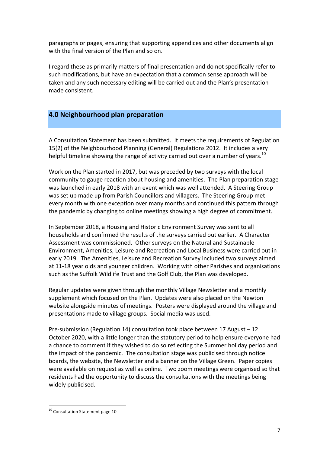paragraphs or pages, ensuring that supporting appendices and other documents align with the final version of the Plan and so on.

I regard these as primarily matters of final presentation and do not specifically refer to such modifications, but have an expectation that a common sense approach will be taken and any such necessary editing will be carried out and the Plan's presentation made consistent.

# **4.0 Neighbourhood plan preparation**

A Consultation Statement has been submitted. It meets the requirements of Regulation 15(2) of the Neighbourhood Planning (General) Regulations 2012. It includes a very helpful timeline showing the range of activity carried out over a number of years.<sup>10</sup>

Work on the Plan started in 2017, but was preceded by two surveys with the local community to gauge reaction about housing and amenities. The Plan preparation stage was launched in early 2018 with an event which was well attended. A Steering Group was set up made up from Parish Councillors and villagers. The Steering Group met every month with one exception over many months and continued this pattern through the pandemic by changing to online meetings showing a high degree of commitment.

In September 2018, a Housing and Historic Environment Survey was sent to all households and confirmed the results of the surveys carried out earlier. A Character Assessment was commissioned. Other surveys on the Natural and Sustainable Environment, Amenities, Leisure and Recreation and Local Business were carried out in early 2019. The Amenities, Leisure and Recreation Survey included two surveys aimed at 11-18 year olds and younger children. Working with other Parishes and organisations such as the Suffolk Wildlife Trust and the Golf Club, the Plan was developed.

Regular updates were given through the monthly Village Newsletter and a monthly supplement which focused on the Plan. Updates were also placed on the Newton website alongside minutes of meetings. Posters were displayed around the village and presentations made to village groups. Social media was used.

Pre-submission (Regulation 14) consultation took place between 17 August  $-12$ October 2020, with a little longer than the statutory period to help ensure everyone had a chance to comment if they wished to do so reflecting the Summer holiday period and the impact of the pandemic. The consultation stage was publicised through notice boards, the website, the Newsletter and a banner on the Village Green. Paper copies were available on request as well as online. Two zoom meetings were organised so that residents had the opportunity to discuss the consultations with the meetings being widely publicised.

 $10$  Consultation Statement page 10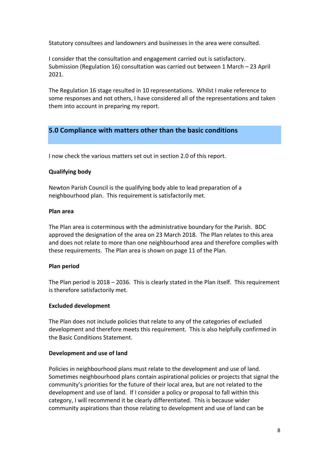Statutory consultees and landowners and businesses in the area were consulted.

I consider that the consultation and engagement carried out is satisfactory. Submission (Regulation 16) consultation was carried out between 1 March  $-$  23 April 2021.

The Regulation 16 stage resulted in 10 representations. Whilst I make reference to some responses and not others, I have considered all of the representations and taken them into account in preparing my report.

# **5.0 Compliance with matters other than the basic conditions**

I now check the various matters set out in section 2.0 of this report.

### **Qualifying body**

Newton Parish Council is the qualifying body able to lead preparation of a neighbourhood plan. This requirement is satisfactorily met.

#### **Plan area**

The Plan area is coterminous with the administrative boundary for the Parish. BDC approved the designation of the area on 23 March 2018. The Plan relates to this area and does not relate to more than one neighbourhood area and therefore complies with these requirements. The Plan area is shown on page 11 of the Plan.

#### **Plan period**

The Plan period is  $2018 - 2036$ . This is clearly stated in the Plan itself. This requirement is therefore satisfactorily met.

#### **Excluded development**

The Plan does not include policies that relate to any of the categories of excluded development and therefore meets this requirement. This is also helpfully confirmed in the Basic Conditions Statement.

#### **Development and use of land**

Policies in neighbourhood plans must relate to the development and use of land. Sometimes neighbourhood plans contain aspirational policies or projects that signal the community's priorities for the future of their local area, but are not related to the development and use of land. If I consider a policy or proposal to fall within this category, I will recommend it be clearly differentiated. This is because wider community aspirations than those relating to development and use of land can be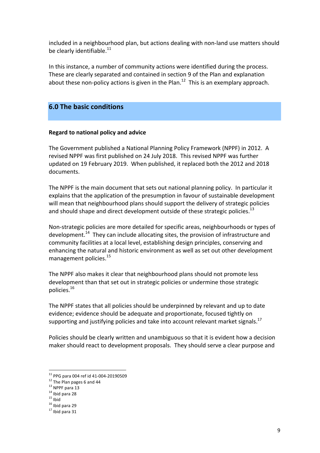included in a neighbourhood plan, but actions dealing with non-land use matters should be clearly identifiable. $^{11}$ 

In this instance, a number of community actions were identified during the process. These are clearly separated and contained in section 9 of the Plan and explanation about these non-policy actions is given in the Plan.<sup>12</sup> This is an exemplary approach.

# **6.0 The basic conditions**

#### **Regard to national policy and advice**

The Government published a National Planning Policy Framework (NPPF) in 2012. A revised NPPF was first published on 24 July 2018. This revised NPPF was further updated on 19 February 2019. When published, it replaced both the 2012 and 2018 documents.

The NPPF is the main document that sets out national planning policy. In particular it explains that the application of the presumption in favour of sustainable development will mean that neighbourhood plans should support the delivery of strategic policies and should shape and direct development outside of these strategic policies.<sup>13</sup>

Non-strategic policies are more detailed for specific areas, neighbourhoods or types of development.<sup>14</sup> They can include allocating sites, the provision of infrastructure and community facilities at a local level, establishing design principles, conserving and enhancing the natural and historic environment as well as set out other development management policies.<sup>15</sup>

The NPPF also makes it clear that neighbourhood plans should not promote less development than that set out in strategic policies or undermine those strategic policies. $^{16}$ 

The NPPF states that all policies should be underpinned by relevant and up to date evidence; evidence should be adequate and proportionate, focused tightly on supporting and justifying policies and take into account relevant market signals.<sup>17</sup>

Policies should be clearly written and unambiguous so that it is evident how a decision maker should react to development proposals. They should serve a clear purpose and

<sup>&</sup>lt;sup>11</sup> PPG para 004 ref id 41-004-20190509<br>
<sup>12</sup> The Plan pages 6 and 44<br>
<sup>13</sup> NPPF para 13<br>
<sup>14</sup> Ibid para 28<br>
<sup>15</sup> Ibid<br>
<sup>16</sup> Ibid para 29<br>
<sup>17</sup> Ibid para 31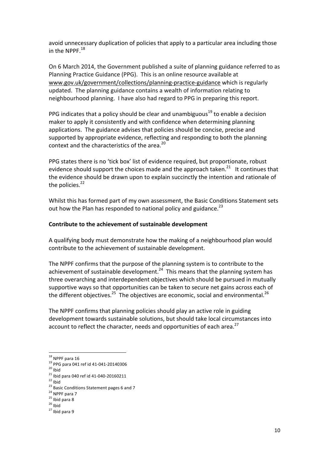avoid unnecessary duplication of policies that apply to a particular area including those in the NPPF. $^{18}$ 

On 6 March 2014, the Government published a suite of planning guidance referred to as Planning Practice Guidance (PPG). This is an online resource available at www.gov.uk/government/collections/planning-practice-guidance which is regularly updated. The planning guidance contains a wealth of information relating to neighbourhood planning. I have also had regard to PPG in preparing this report.

PPG indicates that a policy should be clear and unambiguous<sup>19</sup> to enable a decision maker to apply it consistently and with confidence when determining planning applications. The guidance advises that policies should be concise, precise and supported by appropriate evidence, reflecting and responding to both the planning context and the characteristics of the area.<sup>20</sup>

PPG states there is no 'tick box' list of evidence required, but proportionate, robust evidence should support the choices made and the approach taken.<sup>21</sup> It continues that the evidence should be drawn upon to explain succinctly the intention and rationale of the policies. $22$ 

Whilst this has formed part of my own assessment, the Basic Conditions Statement sets out how the Plan has responded to national policy and guidance.<sup>23</sup>

#### Contribute to the achievement of sustainable development

A qualifying body must demonstrate how the making of a neighbourhood plan would contribute to the achievement of sustainable development.

The NPPF confirms that the purpose of the planning system is to contribute to the achievement of sustainable development.<sup>24</sup> This means that the planning system has three overarching and interdependent objectives which should be pursued in mutually supportive ways so that opportunities can be taken to secure net gains across each of the different objectives.<sup>25</sup> The objectives are economic, social and environmental.<sup>26</sup>

The NPPF confirms that planning policies should play an active role in guiding development towards sustainable solutions, but should take local circumstances into account to reflect the character, needs and opportunities of each area.<sup>27</sup>

<sup>&</sup>lt;sup>18</sup> NPPF para 16<br><sup>19</sup> PPG para 041 ref id 41-041-20140306<br><sup>20</sup> Ibid<br><sup>21</sup> Ibid para 040 ref id 41-040-20160211<br><sup>22</sup> Ibid<br><sup>23</sup> Basic Conditions Statement pages 6 and 7<br><sup>24</sup> NPPF para 7<br><sup>25</sup> Ibid para 8<br><sup>26</sup> Ibid<br><sup>27</sup> Ibid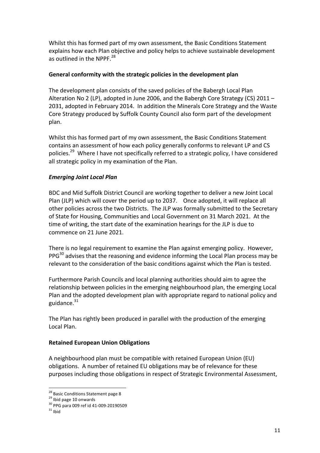Whilst this has formed part of my own assessment, the Basic Conditions Statement explains how each Plan objective and policy helps to achieve sustainable development as outlined in the NPPF.<sup>28</sup>

# General conformity with the strategic policies in the development plan

The development plan consists of the saved policies of the Babergh Local Plan Alteration No 2 (LP), adopted in June 2006, and the Babergh Core Strategy (CS) 2011 – 2031, adopted in February 2014. In addition the Minerals Core Strategy and the Waste Core Strategy produced by Suffolk County Council also form part of the development plan.

Whilst this has formed part of my own assessment, the Basic Conditions Statement contains an assessment of how each policy generally conforms to relevant LP and CS policies.<sup>29</sup> Where I have not specifically referred to a strategic policy, I have considered all strategic policy in my examination of the Plan.

# *Emerging Joint Local Plan*

BDC and Mid Suffolk District Council are working together to deliver a new Joint Local Plan (JLP) which will cover the period up to 2037. Once adopted, it will replace all other policies across the two Districts. The JLP was formally submitted to the Secretary of State for Housing, Communities and Local Government on 31 March 2021. At the time of writing, the start date of the examination hearings for the JLP is due to commence on 21 June 2021.

There is no legal requirement to examine the Plan against emerging policy. However,  $PPG<sup>30</sup>$  advises that the reasoning and evidence informing the Local Plan process may be relevant to the consideration of the basic conditions against which the Plan is tested.

Furthermore Parish Councils and local planning authorities should aim to agree the relationship between policies in the emerging neighbourhood plan, the emerging Local Plan and the adopted development plan with appropriate regard to national policy and guidance. $31$ 

The Plan has rightly been produced in parallel with the production of the emerging Local Plan. 

# **Retained European Union Obligations**

A neighbourhood plan must be compatible with retained European Union (EU) obligations. A number of retained EU obligations may be of relevance for these purposes including those obligations in respect of Strategic Environmental Assessment,

<sup>&</sup>lt;sup>28</sup> Basic Conditions Statement page 8<br><sup>29</sup> Ibid page 10 onwards<br><sup>30</sup> PPG para 009 ref id 41-009-20190509<br><sup>31</sup> Ibid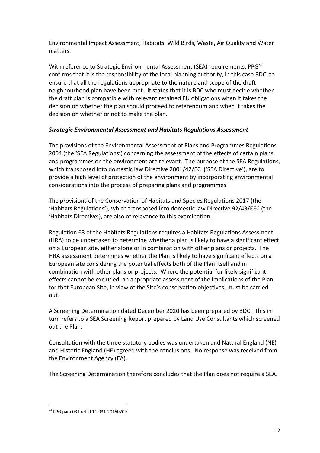Environmental Impact Assessment, Habitats, Wild Birds, Waste, Air Quality and Water matters.

With reference to Strategic Environmental Assessment (SEA) requirements, PPG<sup>32</sup> confirms that it is the responsibility of the local planning authority, in this case BDC, to ensure that all the regulations appropriate to the nature and scope of the draft neighbourhood plan have been met. It states that it is BDC who must decide whether the draft plan is compatible with relevant retained EU obligations when it takes the decision on whether the plan should proceed to referendum and when it takes the decision on whether or not to make the plan.

# *Strategic Environmental Assessment and Habitats Regulations Assessment*

The provisions of the Environmental Assessment of Plans and Programmes Regulations 2004 (the 'SEA Regulations') concerning the assessment of the effects of certain plans and programmes on the environment are relevant. The purpose of the SEA Regulations, which transposed into domestic law Directive 2001/42/EC ('SEA Directive'), are to provide a high level of protection of the environment by incorporating environmental considerations into the process of preparing plans and programmes.

The provisions of the Conservation of Habitats and Species Regulations 2017 (the 'Habitats Regulations'), which transposed into domestic law Directive 92/43/EEC (the 'Habitats Directive'), are also of relevance to this examination.

Regulation 63 of the Habitats Regulations requires a Habitats Regulations Assessment (HRA) to be undertaken to determine whether a plan is likely to have a significant effect on a European site, either alone or in combination with other plans or projects. The HRA assessment determines whether the Plan is likely to have significant effects on a European site considering the potential effects both of the Plan itself and in combination with other plans or projects. Where the potential for likely significant effects cannot be excluded, an appropriate assessment of the implications of the Plan for that European Site, in view of the Site's conservation objectives, must be carried out. 

A Screening Determination dated December 2020 has been prepared by BDC. This in turn refers to a SEA Screening Report prepared by Land Use Consultants which screened out the Plan.

Consultation with the three statutory bodies was undertaken and Natural England (NE) and Historic England (HE) agreed with the conclusions. No response was received from the Environment Agency (EA).

The Screening Determination therefore concludes that the Plan does not require a SEA.

 $32$  PPG para 031 ref id 11-031-20150209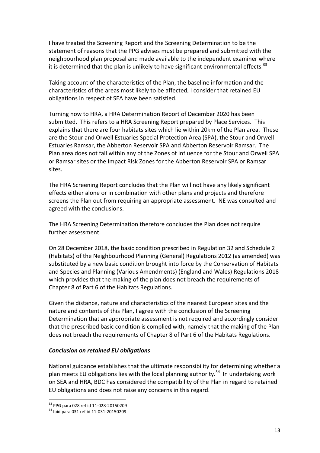I have treated the Screening Report and the Screening Determination to be the statement of reasons that the PPG advises must be prepared and submitted with the neighbourhood plan proposal and made available to the independent examiner where it is determined that the plan is unlikely to have significant environmental effects.<sup>33</sup>

Taking account of the characteristics of the Plan, the baseline information and the characteristics of the areas most likely to be affected, I consider that retained EU obligations in respect of SEA have been satisfied.

Turning now to HRA, a HRA Determination Report of December 2020 has been submitted. This refers to a HRA Screening Report prepared by Place Services. This explains that there are four habitats sites which lie within 20km of the Plan area. These are the Stour and Orwell Estuaries Special Protection Area (SPA), the Stour and Orwell Estuaries Ramsar, the Abberton Reservoir SPA and Abberton Reservoir Ramsar. The Plan area does not fall within any of the Zones of Influence for the Stour and Orwell SPA or Ramsar sites or the Impact Risk Zones for the Abberton Reservoir SPA or Ramsar sites.

The HRA Screening Report concludes that the Plan will not have any likely significant effects either alone or in combination with other plans and projects and therefore screens the Plan out from requiring an appropriate assessment. NE was consulted and agreed with the conclusions.

The HRA Screening Determination therefore concludes the Plan does not require further assessment.

On 28 December 2018, the basic condition prescribed in Regulation 32 and Schedule 2 (Habitats) of the Neighbourhood Planning (General) Regulations 2012 (as amended) was substituted by a new basic condition brought into force by the Conservation of Habitats and Species and Planning (Various Amendments) (England and Wales) Regulations 2018 which provides that the making of the plan does not breach the requirements of Chapter 8 of Part 6 of the Habitats Regulations.

Given the distance, nature and characteristics of the nearest European sites and the nature and contents of this Plan, I agree with the conclusion of the Screening Determination that an appropriate assessment is not required and accordingly consider that the prescribed basic condition is complied with, namely that the making of the Plan does not breach the requirements of Chapter 8 of Part 6 of the Habitats Regulations.

#### *Conclusion on retained EU obligations*

National guidance establishes that the ultimate responsibility for determining whether a plan meets EU obligations lies with the local planning authority.<sup>34</sup> In undertaking work on SEA and HRA, BDC has considered the compatibility of the Plan in regard to retained EU obligations and does not raise any concerns in this regard.

 $33$  PPG para 028 ref id 11-028-20150209<br> $34$  Ibid para 031 ref id 11-031-20150209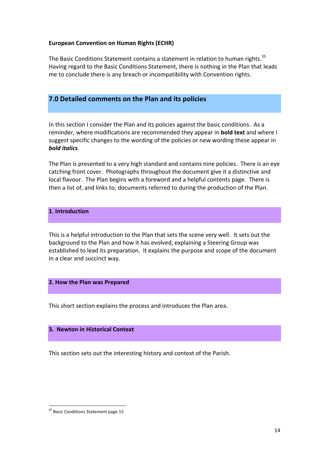#### **European Convention on Human Rights (ECHR)**

The Basic Conditions Statement contains a statement in relation to human rights.<sup>35</sup> Having regard to the Basic Conditions Statement, there is nothing in the Plan that leads me to conclude there is any breach or incompatibility with Convention rights.

# **7.0 Detailed comments on the Plan and its policies**

In this section I consider the Plan and its policies against the basic conditions. As a reminder, where modifications are recommended they appear in **bold text** and where I suggest specific changes to the wording of the policies or new wording these appear in *bold italics*.

The Plan is presented to a very high standard and contains nine policies. There is an eye catching front cover. Photographs throughout the document give it a distinctive and local flavour. The Plan begins with a foreword and a helpful contents page. There is then a list of, and links to, documents referred to during the production of the Plan.

# **1. Introduction**

This is a helpful introduction to the Plan that sets the scene very well. It sets out the background to the Plan and how it has evolved, explaining a Steering Group was established to lead its preparation. It explains the purpose and scope of the document in a clear and succinct way.

#### **2. How the Plan was Prepared**

This short section explains the process and introduces the Plan area.

#### **3. Newton in Historical Context**

This section sets out the interesting history and context of the Parish.

 $35$  Basic Conditions Statement page 15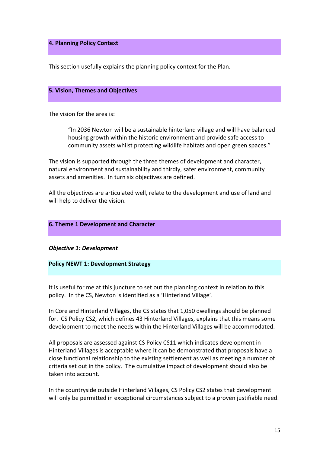#### **4. Planning Policy Context**

This section usefully explains the planning policy context for the Plan.

#### **5. Vision, Themes and Objectives**

The vision for the area is:

"In 2036 Newton will be a sustainable hinterland village and will have balanced housing growth within the historic environment and provide safe access to community assets whilst protecting wildlife habitats and open green spaces."

The vision is supported through the three themes of development and character, natural environment and sustainability and thirdly, safer environment, community assets and amenities. In turn six objectives are defined.

All the objectives are articulated well, relate to the development and use of land and will help to deliver the vision.

#### **6. Theme 1 Development and Character**

*Objective 1: Development*

#### **Policy NEWT 1: Development Strategy**

It is useful for me at this juncture to set out the planning context in relation to this policy. In the CS, Newton is identified as a 'Hinterland Village'.

In Core and Hinterland Villages, the CS states that 1,050 dwellings should be planned for. CS Policy CS2, which defines 43 Hinterland Villages, explains that this means some development to meet the needs within the Hinterland Villages will be accommodated.

All proposals are assessed against CS Policy CS11 which indicates development in Hinterland Villages is acceptable where it can be demonstrated that proposals have a close functional relationship to the existing settlement as well as meeting a number of criteria set out in the policy. The cumulative impact of development should also be taken into account.

In the countryside outside Hinterland Villages, CS Policy CS2 states that development will only be permitted in exceptional circumstances subject to a proven justifiable need.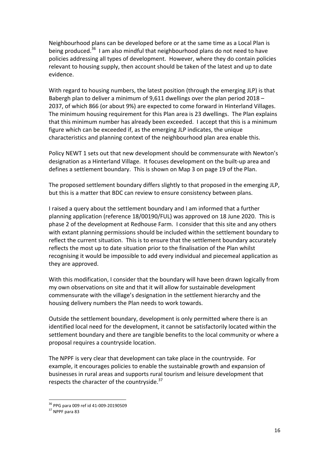Neighbourhood plans can be developed before or at the same time as a Local Plan is being produced.<sup>36</sup> I am also mindful that neighbourhood plans do not need to have policies addressing all types of development. However, where they do contain policies relevant to housing supply, then account should be taken of the latest and up to date evidence. 

With regard to housing numbers, the latest position (through the emerging JLP) is that Babergh plan to deliver a minimum of 9,611 dwellings over the plan period  $2018 -$ 2037, of which 866 (or about 9%) are expected to come forward in Hinterland Villages. The minimum housing requirement for this Plan area is 23 dwellings. The Plan explains that this minimum number has already been exceeded. I accept that this is a minimum figure which can be exceeded if, as the emerging JLP indicates, the unique characteristics and planning context of the neighbourhood plan area enable this.

Policy NEWT 1 sets out that new development should be commensurate with Newton's designation as a Hinterland Village. It focuses development on the built-up area and defines a settlement boundary. This is shown on Map 3 on page 19 of the Plan.

The proposed settlement boundary differs slightly to that proposed in the emerging JLP, but this is a matter that BDC can review to ensure consistency between plans.

I raised a query about the settlement boundary and I am informed that a further planning application (reference 18/00190/FUL) was approved on 18 June 2020. This is phase 2 of the development at Redhouse Farm. I consider that this site and any others with extant planning permissions should be included within the settlement boundary to reflect the current situation. This is to ensure that the settlement boundary accurately reflects the most up to date situation prior to the finalisation of the Plan whilst recognising it would be impossible to add every individual and piecemeal application as they are approved.

With this modification, I consider that the boundary will have been drawn logically from my own observations on site and that it will allow for sustainable development commensurate with the village's designation in the settlement hierarchy and the housing delivery numbers the Plan needs to work towards.

Outside the settlement boundary, development is only permitted where there is an identified local need for the development, it cannot be satisfactorily located within the settlement boundary and there are tangible benefits to the local community or where a proposal requires a countryside location.

The NPPF is very clear that development can take place in the countryside. For example, it encourages policies to enable the sustainable growth and expansion of businesses in rural areas and supports rural tourism and leisure development that respects the character of the countryside. $37$ 

 $36$  PPG para 009 ref id 41-009-20190509<br> $37$  NPPF para 83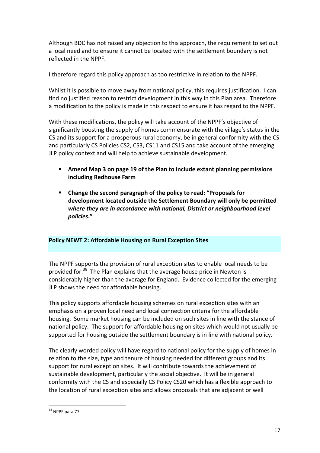Although BDC has not raised any objection to this approach, the requirement to set out a local need and to ensure it cannot be located with the settlement boundary is not reflected in the NPPF.

I therefore regard this policy approach as too restrictive in relation to the NPPF.

Whilst it is possible to move away from national policy, this requires justification. I can find no justified reason to restrict development in this way in this Plan area. Therefore a modification to the policy is made in this respect to ensure it has regard to the NPPF.

With these modifications, the policy will take account of the NPPF's objective of significantly boosting the supply of homes commensurate with the village's status in the CS and its support for a prosperous rural economy, be in general conformity with the CS and particularly CS Policies CS2, CS3, CS11 and CS15 and take account of the emerging JLP policy context and will help to achieve sustainable development.

- Amend Map 3 on page 19 of the Plan to include extant planning permissions **including Redhouse Farm**
- Change the second paragraph of the policy to read: "Proposals for development located outside the Settlement Boundary will only be permitted where they are in accordance with national, District or neighbourhood level *policies***."**

# **Policy NEWT 2: Affordable Housing on Rural Exception Sites**

The NPPF supports the provision of rural exception sites to enable local needs to be provided for.<sup>38</sup> The Plan explains that the average house price in Newton is considerably higher than the average for England. Evidence collected for the emerging JLP shows the need for affordable housing.

This policy supports affordable housing schemes on rural exception sites with an emphasis on a proven local need and local connection criteria for the affordable housing. Some market housing can be included on such sites in line with the stance of national policy. The support for affordable housing on sites which would not usually be supported for housing outside the settlement boundary is in line with national policy.

The clearly worded policy will have regard to national policy for the supply of homes in relation to the size, type and tenure of housing needed for different groups and its support for rural exception sites. It will contribute towards the achievement of sustainable development, particularly the social objective. It will be in general conformity with the CS and especially CS Policy CS20 which has a flexible approach to the location of rural exception sites and allows proposals that are adjacent or well

 $38$  NPPF para 77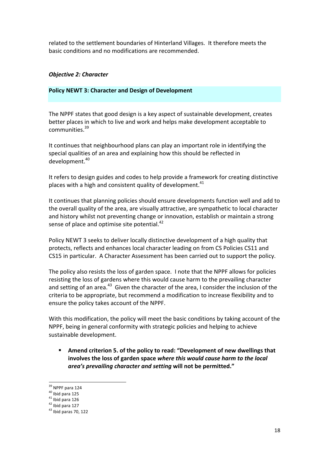related to the settlement boundaries of Hinterland Villages. It therefore meets the basic conditions and no modifications are recommended.

#### *Objective 2: Character*

#### **Policy NEWT 3: Character and Design of Development**

The NPPF states that good design is a key aspect of sustainable development, creates better places in which to live and work and helps make development acceptable to communities.39 

It continues that neighbourhood plans can play an important role in identifying the special qualities of an area and explaining how this should be reflected in development.<sup>40</sup>

It refers to design guides and codes to help provide a framework for creating distinctive places with a high and consistent quality of development.<sup>41</sup>

It continues that planning policies should ensure developments function well and add to the overall quality of the area, are visually attractive, are sympathetic to local character and history whilst not preventing change or innovation, establish or maintain a strong sense of place and optimise site potential.<sup>42</sup>

Policy NEWT 3 seeks to deliver locally distinctive development of a high quality that protects, reflects and enhances local character leading on from CS Policies CS11 and CS15 in particular. A Character Assessment has been carried out to support the policy.

The policy also resists the loss of garden space. I note that the NPPF allows for policies resisting the loss of gardens where this would cause harm to the prevailing character and setting of an area.<sup>43</sup> Given the character of the area, I consider the inclusion of the criteria to be appropriate, but recommend a modification to increase flexibility and to ensure the policy takes account of the NPPF.

With this modification, the policy will meet the basic conditions by taking account of the NPPF, being in general conformity with strategic policies and helping to achieve sustainable development.

Amend criterion 5. of the policy to read: "Development of new dwellings that involves the loss of garden space where this would cause harm to the local *area's prevailing character and setting* will not be permitted."

<sup>&</sup>lt;sup>39</sup> NPPF para 124<br><sup>40</sup> Ibid para 125<br><sup>41</sup> Ibid para 126<br><sup>42</sup> Ibid para 127<br><sup>43</sup> Ibid paras 70, 122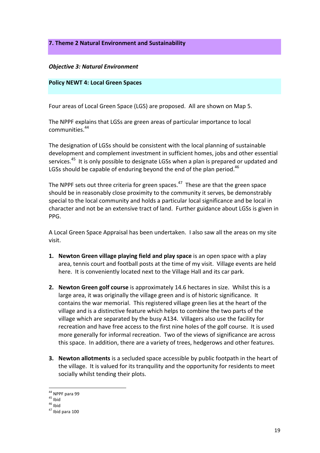**7. Theme 2 Natural Environment and Sustainability** 

#### *Objective 3: Natural Environment*

#### **Policy NEWT 4: Local Green Spaces**

Four areas of Local Green Space (LGS) are proposed. All are shown on Map 5.

The NPPF explains that LGSs are green areas of particular importance to local communities.<sup>44</sup>

The designation of LGSs should be consistent with the local planning of sustainable development and complement investment in sufficient homes, jobs and other essential services.<sup>45</sup> It is only possible to designate LGSs when a plan is prepared or updated and LGSs should be capable of enduring beyond the end of the plan period.<sup>46</sup>

The NPPF sets out three criteria for green spaces.<sup>47</sup> These are that the green space should be in reasonably close proximity to the community it serves, be demonstrably special to the local community and holds a particular local significance and be local in character and not be an extensive tract of land. Further guidance about LGSs is given in PPG.

A Local Green Space Appraisal has been undertaken. I also saw all the areas on my site visit. 

- **1.** Newton Green village playing field and play space is an open space with a play area, tennis court and football posts at the time of my visit. Village events are held here. It is conveniently located next to the Village Hall and its car park.
- **2.** Newton Green golf course is approximately 14.6 hectares in size. Whilst this is a large area, it was originally the village green and is of historic significance. It contains the war memorial. This registered village green lies at the heart of the village and is a distinctive feature which helps to combine the two parts of the village which are separated by the busy A134. Villagers also use the facility for recreation and have free access to the first nine holes of the golf course. It is used more generally for informal recreation. Two of the views of significance are across this space. In addition, there are a variety of trees, hedgerows and other features.
- **3.** Newton allotments is a secluded space accessible by public footpath in the heart of the village. It is valued for its tranquility and the opportunity for residents to meet socially whilst tending their plots.

 $\frac{44}{44}$  NPPF para 99<br> $\frac{45}{45}$  Ibid<br> $\frac{46}{47}$  Ibid para 100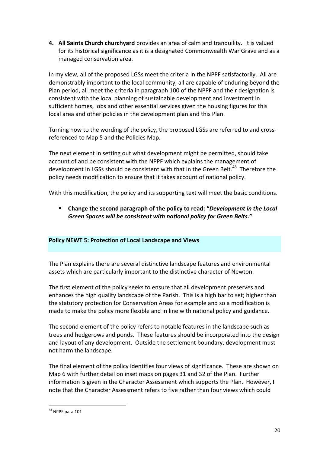**4.** All Saints Church churchyard provides an area of calm and tranquility. It is valued for its historical significance as it is a designated Commonwealth War Grave and as a managed conservation area.

In my view, all of the proposed LGSs meet the criteria in the NPPF satisfactorily. All are demonstrably important to the local community, all are capable of enduring beyond the Plan period, all meet the criteria in paragraph 100 of the NPPF and their designation is consistent with the local planning of sustainable development and investment in sufficient homes, jobs and other essential services given the housing figures for this local area and other policies in the development plan and this Plan.

Turning now to the wording of the policy, the proposed LGSs are referred to and crossreferenced to Map 5 and the Policies Map.

The next element in setting out what development might be permitted, should take account of and be consistent with the NPPF which explains the management of development in LGSs should be consistent with that in the Green Belt.<sup>48</sup> Therefore the policy needs modification to ensure that it takes account of national policy.

With this modification, the policy and its supporting text will meet the basic conditions.

**EXECO EXECOMED EXECONDED EXECOMED EXECOLE Change** the second paragraph of the policy to read: "Development in the Local Green Spaces will be consistent with national policy for Green Belts."

# **Policy NEWT 5: Protection of Local Landscape and Views**

The Plan explains there are several distinctive landscape features and environmental assets which are particularly important to the distinctive character of Newton.

The first element of the policy seeks to ensure that all development preserves and enhances the high quality landscape of the Parish. This is a high bar to set; higher than the statutory protection for Conservation Areas for example and so a modification is made to make the policy more flexible and in line with national policy and guidance.

The second element of the policy refers to notable features in the landscape such as trees and hedgerows and ponds. These features should be incorporated into the design and layout of any development. Outside the settlement boundary, development must not harm the landscape.

The final element of the policy identifies four views of significance. These are shown on Map 6 with further detail on inset maps on pages 31 and 32 of the Plan. Further information is given in the Character Assessment which supports the Plan. However, I note that the Character Assessment refers to five rather than four views which could

 $48$  NPPF para 101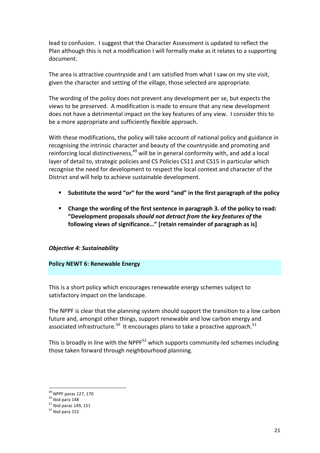lead to confusion. I suggest that the Character Assessment is updated to reflect the Plan although this is not a modification I will formally make as it relates to a supporting document.

The area is attractive countryside and I am satisfied from what I saw on my site visit, given the character and setting of the village, those selected are appropriate.

The wording of the policy does not prevent any development per se, but expects the views to be preserved. A modification is made to ensure that any new development does not have a detrimental impact on the key features of any view. I consider this to be a more appropriate and sufficiently flexible approach.

With these modifications, the policy will take account of national policy and guidance in recognising the intrinsic character and beauty of the countryside and promoting and reinforcing local distinctiveness,  $49$  will be in general conformity with, and add a local layer of detail to, strategic policies and CS Policies CS11 and CS15 in particular which recognise the need for development to respect the local context and character of the District and will help to achieve sustainable development.

- Substitute the word "or" for the word "and" in the first paragraph of the policy
- Change the wording of the first sentence in paragraph 3. of the policy to read: **"Development proposals** *should not detract from the key features of* **the**  following views of significance..." [retain remainder of paragraph as is]

#### **Objective 4: Sustainability**

#### **Policy NEWT 6: Renewable Energy**

This is a short policy which encourages renewable energy schemes subject to satisfactory impact on the landscape.

The NPPF is clear that the planning system should support the transition to a low carbon future and, amongst other things, support renewable and low carbon energy and associated infrastructure.<sup>50</sup> It encourages plans to take a proactive approach.<sup>51</sup>

This is broadly in line with the NPPF<sup>52</sup> which supports community-led schemes including those taken forward through neighbourhood planning.

<sup>&</sup>lt;sup>49</sup> NPPF paras 127, 170<br><sup>50</sup> Ibid para 148<br><sup>51</sup> Ibid paras 149, 151<br><sup>52</sup> Ibid para 152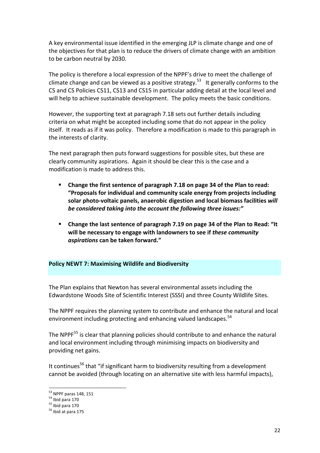A key environmental issue identified in the emerging JLP is climate change and one of the objectives for that plan is to reduce the drivers of climate change with an ambition to be carbon neutral by 2030.

The policy is therefore a local expression of the NPPF's drive to meet the challenge of climate change and can be viewed as a positive strategy.<sup>53</sup> It generally conforms to the CS and CS Policies CS11, CS13 and CS15 in particular adding detail at the local level and will help to achieve sustainable development. The policy meets the basic conditions.

However, the supporting text at paragraph 7.18 sets out further details including criteria on what might be accepted including some that do not appear in the policy itself. It reads as if it was policy. Therefore a modification is made to this paragraph in the interests of clarity.

The next paragraph then puts forward suggestions for possible sites, but these are clearly community aspirations. Again it should be clear this is the case and a modification is made to address this.

- **EXED:** Change the first sentence of paragraph 7.18 on page 34 of the Plan to read: **"Proposals for individual and community scale energy from projects including** solar photo-voltaic panels, anaerobic digestion and local biomass facilities *will* be considered taking into the account the following three issues:"
- **E** Change the last sentence of paragraph 7.19 on page 34 of the Plan to Read: "It will be necessary to engage with landowners to see if *these community aspirations* **can be taken forward."**

#### **Policy NEWT 7: Maximising Wildlife and Biodiversity**

The Plan explains that Newton has several environmental assets including the Edwardstone Woods Site of Scientific Interest (SSSI) and three County Wildlife Sites.

The NPPF requires the planning system to contribute and enhance the natural and local environment including protecting and enhancing valued landscapes.<sup>54</sup>

The NPPF $<sup>55</sup>$  is clear that planning policies should contribute to and enhance the natural</sup> and local environment including through minimising impacts on biodiversity and providing net gains.

It continues<sup>56</sup> that "if significant harm to biodiversity resulting from a development cannot be avoided (through locating on an alternative site with less harmful impacts).

<sup>&</sup>lt;sup>53</sup> NPPF paras 148, 151<br><sup>54</sup> Ibid para 170<br><sup>55</sup> Ibid para 170<br><sup>56</sup> Ibid at para 175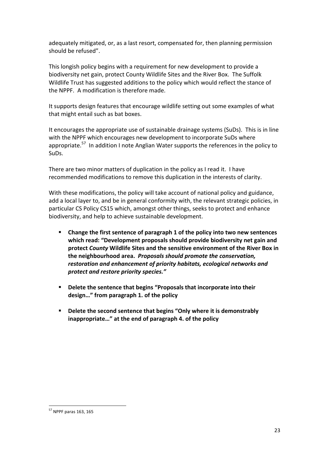adequately mitigated, or, as a last resort, compensated for, then planning permission should be refused".

This longish policy begins with a requirement for new development to provide a biodiversity net gain, protect County Wildlife Sites and the River Box. The Suffolk Wildlife Trust has suggested additions to the policy which would reflect the stance of the NPPF. A modification is therefore made.

It supports design features that encourage wildlife setting out some examples of what that might entail such as bat boxes.

It encourages the appropriate use of sustainable drainage systems (SuDs). This is in line with the NPPF which encourages new development to incorporate SuDs where appropriate.<sup>57</sup> In addition I note Anglian Water supports the references in the policy to SuDs.

There are two minor matters of duplication in the policy as I read it. I have recommended modifications to remove this duplication in the interests of clarity.

With these modifications, the policy will take account of national policy and guidance, add a local layer to, and be in general conformity with, the relevant strategic policies, in particular CS Policy CS15 which, amongst other things, seeks to protect and enhance biodiversity, and help to achieve sustainable development.

- **EXECHANGE:** Change the first sentence of paragraph 1 of the policy into two new sentences which read: "Development proposals should provide biodiversity net gain and protect *County* Wildlife Sites and the sensitive environment of the River Box in the neighbourhood area. *Proposals should promote the conservation,* restoration and enhancement of priority habitats, ecological networks and *protect and restore priority species."*
- **•** Delete the sentence that begins "Proposals that incorporate into their design..." from paragraph 1. of the policy
- Delete the second sentence that begins "Only where it is demonstrably inappropriate..." at the end of paragraph 4. of the policy

 $57$  NPPF paras 163, 165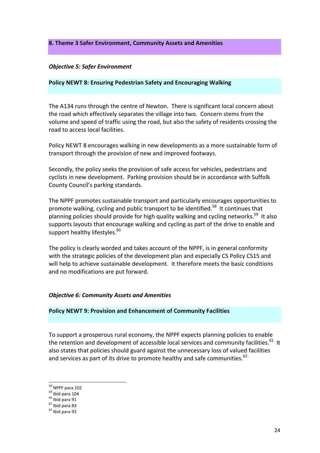#### **8. Theme 3 Safer Environment, Community Assets and Amenities**

#### *Objective 5: Safer Environment*

#### **Policy NEWT 8: Ensuring Pedestrian Safety and Encouraging Walking**

The A134 runs through the centre of Newton. There is significant local concern about the road which effectively separates the village into two. Concern stems from the volume and speed of traffic using the road, but also the safety of residents crossing the road to access local facilities.

Policy NEWT 8 encourages walking in new developments as a more sustainable form of transport through the provision of new and improved footways.

Secondly, the policy seeks the provision of safe access for vehicles, pedestrians and cyclists in new development. Parking provision should be in accordance with Suffolk County Council's parking standards.

The NPPF promotes sustainable transport and particularly encourages opportunities to promote walking, cycling and public transport to be identified.<sup>58</sup> It continues that planning policies should provide for high quality walking and cycling networks.<sup>59</sup> It also supports layouts that encourage walking and cycling as part of the drive to enable and support healthy lifestyles.<sup>60</sup>

The policy is clearly worded and takes account of the NPPF, is in general conformity with the strategic policies of the development plan and especially CS Policy CS15 and will help to achieve sustainable development. It therefore meets the basic conditions and no modifications are put forward.

#### **Objective 6: Community Assets and Amenities**

#### **Policy NEWT 9: Provision and Enhancement of Community Facilities**

To support a prosperous rural economy, the NPPF expects planning policies to enable the retention and development of accessible local services and community facilities.<sup>61</sup> It also states that policies should guard against the unnecessary loss of valued facilities and services as part of its drive to promote healthy and safe communities.  $62$ 

 $\frac{58}{58}$  NPPF para 102<br> $\frac{59}{10}$  Ibid para 104<br> $\frac{60}{10}$  Ibid para 91<br> $\frac{61}{2}$  Ibid para 83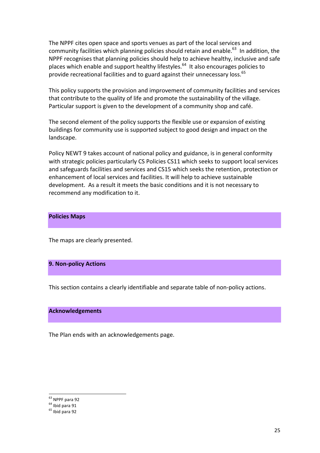The NPPF cites open space and sports venues as part of the local services and community facilities which planning policies should retain and enable.<sup>63</sup> In addition, the NPPF recognises that planning policies should help to achieve healthy, inclusive and safe places which enable and support healthy lifestyles.<sup>64</sup> It also encourages policies to provide recreational facilities and to guard against their unnecessary loss.<sup>65</sup>

This policy supports the provision and improvement of community facilities and services that contribute to the quality of life and promote the sustainability of the village. Particular support is given to the development of a community shop and café.

The second element of the policy supports the flexible use or expansion of existing buildings for community use is supported subject to good design and impact on the landscape.

Policy NEWT 9 takes account of national policy and guidance, is in general conformity with strategic policies particularly CS Policies CS11 which seeks to support local services and safeguards facilities and services and CS15 which seeks the retention, protection or enhancement of local services and facilities. It will help to achieve sustainable development. As a result it meets the basic conditions and it is not necessary to recommend any modification to it.

#### **Policies Maps**

The maps are clearly presented.

#### **9. Non-policy Actions**

This section contains a clearly identifiable and separate table of non-policy actions.

#### **Acknowledgements**

The Plan ends with an acknowledgements page.

 $<sup>63</sup>$  NPPF para 92<br> $<sup>64</sup>$  Ibid para 91<br> $<sup>65</sup>$  Ibid para 92</sup></sup></sup>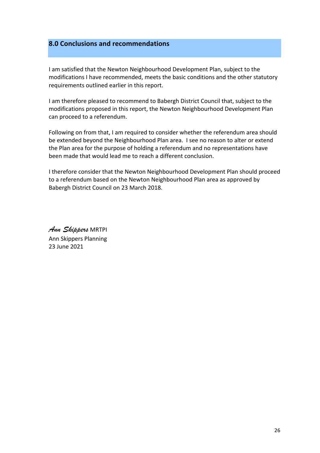# **8.0 Conclusions and recommendations**

I am satisfied that the Newton Neighbourhood Development Plan, subject to the modifications I have recommended, meets the basic conditions and the other statutory requirements outlined earlier in this report.

I am therefore pleased to recommend to Babergh District Council that, subject to the modifications proposed in this report, the Newton Neighbourhood Development Plan can proceed to a referendum.

Following on from that, I am required to consider whether the referendum area should be extended beyond the Neighbourhood Plan area. I see no reason to alter or extend the Plan area for the purpose of holding a referendum and no representations have been made that would lead me to reach a different conclusion.

I therefore consider that the Newton Neighbourhood Development Plan should proceed to a referendum based on the Newton Neighbourhood Plan area as approved by Babergh District Council on 23 March 2018.

*Ann Skippers* MRTPI Ann Skippers Planning 23 June 2021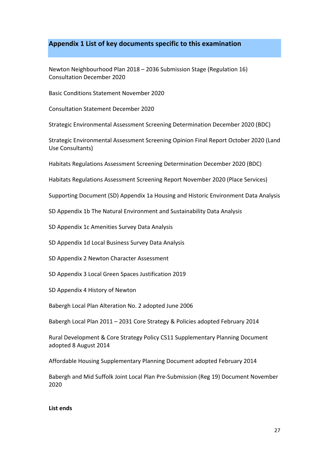# Appendix 1 List of key documents specific to this examination

Newton Neighbourhood Plan 2018 - 2036 Submission Stage (Regulation 16) Consultation December 2020

Basic Conditions Statement November 2020

Consultation Statement December 2020

Strategic Environmental Assessment Screening Determination December 2020 (BDC)

Strategic Environmental Assessment Screening Opinion Final Report October 2020 (Land Use Consultants)

Habitats Regulations Assessment Screening Determination December 2020 (BDC)

Habitats Regulations Assessment Screening Report November 2020 (Place Services)

Supporting Document (SD) Appendix 1a Housing and Historic Environment Data Analysis

SD Appendix 1b The Natural Environment and Sustainability Data Analysis

SD Appendix 1c Amenities Survey Data Analysis

SD Appendix 1d Local Business Survey Data Analysis

SD Appendix 2 Newton Character Assessment

SD Appendix 3 Local Green Spaces Justification 2019

SD Appendix 4 History of Newton

Babergh Local Plan Alteration No. 2 adopted June 2006

Babergh Local Plan 2011 - 2031 Core Strategy & Policies adopted February 2014

Rural Development & Core Strategy Policy CS11 Supplementary Planning Document adopted 8 August 2014

Affordable Housing Supplementary Planning Document adopted February 2014

Babergh and Mid Suffolk Joint Local Plan Pre-Submission (Reg 19) Document November 2020

#### **List ends**